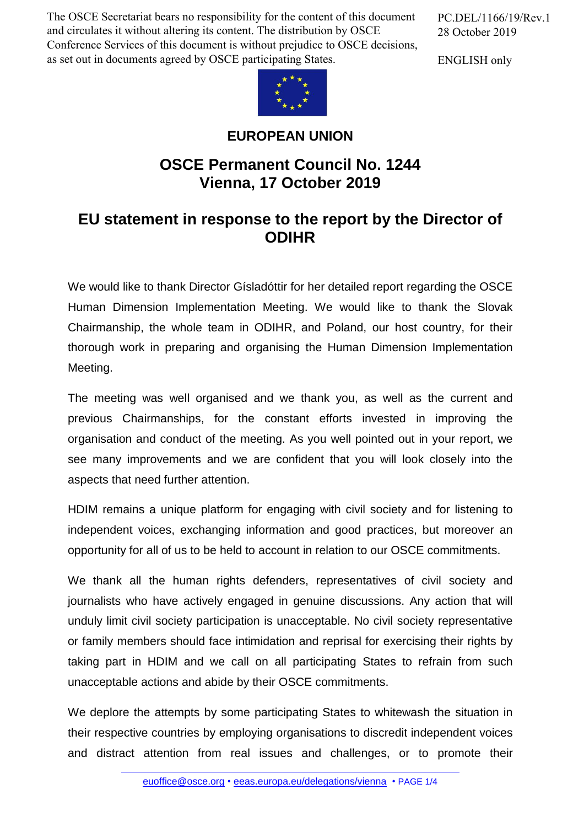The OSCE Secretariat bears no responsibility for the content of this document and circulates it without altering its content. The distribution by OSCE Conference Services of this document is without prejudice to OSCE decisions, as set out in documents agreed by OSCE participating States.

PC.DEL/1166/19/Rev.1 28 October 2019

ENGLISH only



## **EUROPEAN UNION**

## **OSCE Permanent Council No. 1244 Vienna, 17 October 2019**

## **EU statement in response to the report by the Director of ODIHR**

We would like to thank Director Gísladóttir for her detailed report regarding the OSCE Human Dimension Implementation Meeting. We would like to thank the Slovak Chairmanship, the whole team in ODIHR, and Poland, our host country, for their thorough work in preparing and organising the Human Dimension Implementation Meeting.

The meeting was well organised and we thank you, as well as the current and previous Chairmanships, for the constant efforts invested in improving the organisation and conduct of the meeting. As you well pointed out in your report, we see many improvements and we are confident that you will look closely into the aspects that need further attention.

HDIM remains a unique platform for engaging with civil society and for listening to independent voices, exchanging information and good practices, but moreover an opportunity for all of us to be held to account in relation to our OSCE commitments.

We thank all the human rights defenders, representatives of civil society and journalists who have actively engaged in genuine discussions. Any action that will unduly limit civil society participation is unacceptable. No civil society representative or family members should face intimidation and reprisal for exercising their rights by taking part in HDIM and we call on all participating States to refrain from such unacceptable actions and abide by their OSCE commitments.

We deplore the attempts by some participating States to whitewash the situation in their respective countries by employing organisations to discredit independent voices and distract attention from real issues and challenges, or to promote their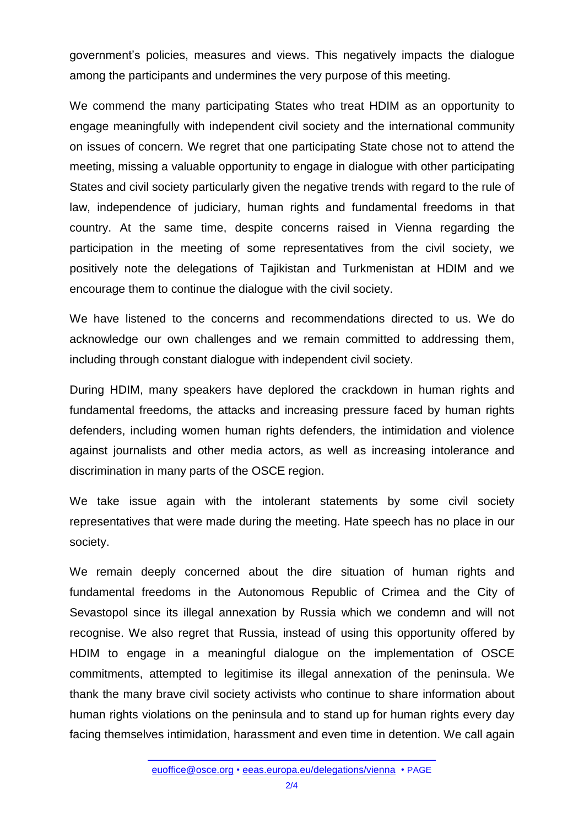government's policies, measures and views. This negatively impacts the dialogue among the participants and undermines the very purpose of this meeting.

We commend the many participating States who treat HDIM as an opportunity to engage meaningfully with independent civil society and the international community on issues of concern. We regret that one participating State chose not to attend the meeting, missing a valuable opportunity to engage in dialogue with other participating States and civil society particularly given the negative trends with regard to the rule of law, independence of judiciary, human rights and fundamental freedoms in that country. At the same time, despite concerns raised in Vienna regarding the participation in the meeting of some representatives from the civil society, we positively note the delegations of Tajikistan and Turkmenistan at HDIM and we encourage them to continue the dialogue with the civil society.

We have listened to the concerns and recommendations directed to us. We do acknowledge our own challenges and we remain committed to addressing them, including through constant dialogue with independent civil society.

During HDIM, many speakers have deplored the crackdown in human rights and fundamental freedoms, the attacks and increasing pressure faced by human rights defenders, including women human rights defenders, the intimidation and violence against journalists and other media actors, as well as increasing intolerance and discrimination in many parts of the OSCE region.

We take issue again with the intolerant statements by some civil society representatives that were made during the meeting. Hate speech has no place in our society.

We remain deeply concerned about the dire situation of human rights and fundamental freedoms in the Autonomous Republic of Crimea and the City of Sevastopol since its illegal annexation by Russia which we condemn and will not recognise. We also regret that Russia, instead of using this opportunity offered by HDIM to engage in a meaningful dialogue on the implementation of OSCE commitments, attempted to legitimise its illegal annexation of the peninsula. We thank the many brave civil society activists who continue to share information about human rights violations on the peninsula and to stand up for human rights every day facing themselves intimidation, harassment and even time in detention. We call again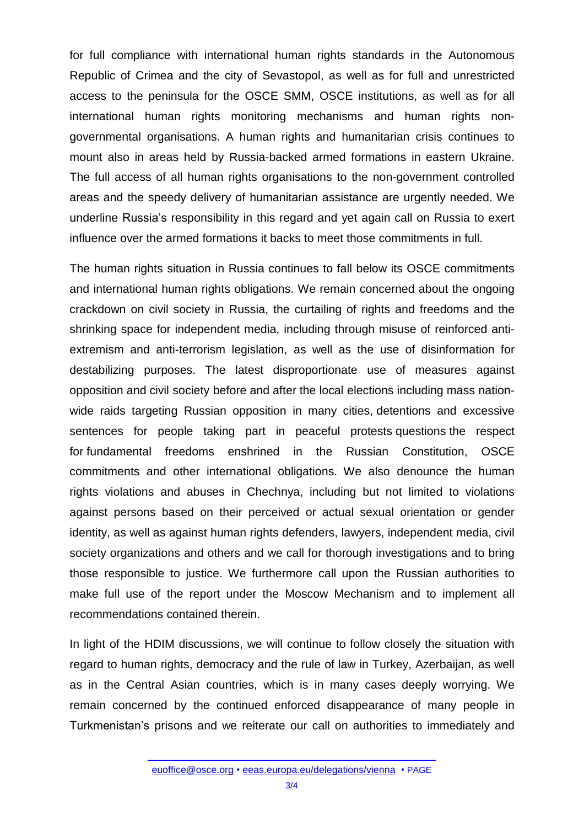for full compliance with international human rights standards in the Autonomous Republic of Crimea and the city of Sevastopol, as well as for full and unrestricted access to the peninsula for the OSCE SMM, OSCE institutions, as well as for all international human rights monitoring mechanisms and human rights nongovernmental organisations. A human rights and humanitarian crisis continues to mount also in areas held by Russia-backed armed formations in eastern Ukraine. The full access of all human rights organisations to the non-government controlled areas and the speedy delivery of humanitarian assistance are urgently needed. We underline Russia's responsibility in this regard and yet again call on Russia to exert influence over the armed formations it backs to meet those commitments in full.

The human rights situation in Russia continues to fall below its OSCE commitments and international human rights obligations. We remain concerned about the ongoing crackdown on civil society in Russia, the curtailing of rights and freedoms and the shrinking space for independent media, including through misuse of reinforced antiextremism and anti-terrorism legislation, as well as the use of disinformation for destabilizing purposes. The latest disproportionate use of measures against opposition and civil society before and after the local elections including mass nationwide raids targeting Russian opposition in many cities, detentions and excessive sentences for people taking part in peaceful protests questions the respect for fundamental freedoms enshrined in the Russian Constitution, OSCE commitments and other international obligations. We also denounce the human rights violations and abuses in Chechnya, including but not limited to violations against persons based on their perceived or actual sexual orientation or gender identity, as well as against human rights defenders, lawyers, independent media, civil society organizations and others and we call for thorough investigations and to bring those responsible to justice. We furthermore call upon the Russian authorities to make full use of the report under the Moscow Mechanism and to implement all recommendations contained therein.

In light of the HDIM discussions, we will continue to follow closely the situation with regard to human rights, democracy and the rule of law in Turkey, Azerbaijan, as well as in the Central Asian countries, which is in many cases deeply worrying. We remain concerned by the continued enforced disappearance of many people in Turkmenistan's prisons and we reiterate our call on authorities to immediately and